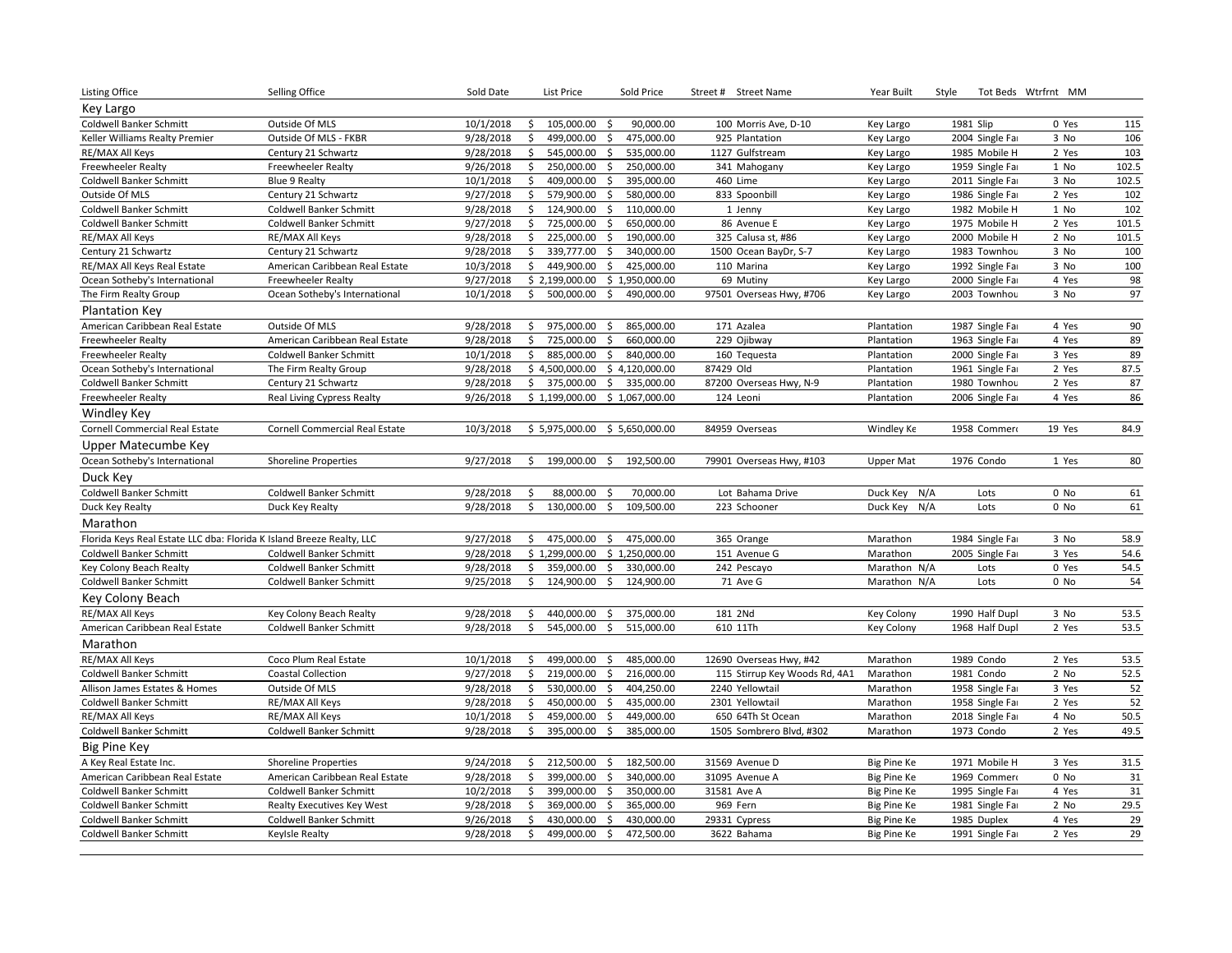| <b>Listing Office</b>                                                 | Selling Office                    | Sold Date |    | List Price     |                     | Sold Price     | Street # Street Name          | Year Built         | Style           | Tot Beds Wtrfrnt MM |       |
|-----------------------------------------------------------------------|-----------------------------------|-----------|----|----------------|---------------------|----------------|-------------------------------|--------------------|-----------------|---------------------|-------|
| Key Largo                                                             |                                   |           |    |                |                     |                |                               |                    |                 |                     |       |
| Coldwell Banker Schmitt                                               | Outside Of MLS                    | 10/1/2018 | \$ | 105,000.00     | $\ddot{\mathsf{S}}$ | 90,000.00      | 100 Morris Ave, D-10          | Key Largo          | 1981 Slip       | 0 Yes               | 115   |
| Keller Williams Realty Premier                                        | Outside Of MLS - FKBR             | 9/28/2018 | \$ | 499,000.00     | $\ddot{\varsigma}$  | 475,000.00     | 925 Plantation                | Key Largo          | 2004 Single Far | 3 No                | 106   |
| RE/MAX All Keys                                                       | Century 21 Schwartz               | 9/28/2018 | \$ | 545,000.00     | \$                  | 535,000.00     | 1127 Gulfstream               | Key Largo          | 1985 Mobile H   | 2 Yes               | 103   |
| Freewheeler Realty                                                    | Freewheeler Realty                | 9/26/2018 | \$ | 250,000.00     | \$                  | 250,000.00     | 341 Mahogany                  | Key Largo          | 1959 Single Far | 1 No                | 102.5 |
| Coldwell Banker Schmitt                                               | Blue 9 Realty                     | 10/1/2018 | \$ | 409,000.00     | \$                  | 395,000.00     | 460 Lime                      | Key Largo          | 2011 Single Far | 3 No                | 102.5 |
| Outside Of MLS                                                        | Century 21 Schwartz               | 9/27/2018 | \$ | 579,900.00     | $\ddot{\mathsf{S}}$ | 580,000.00     | 833 Spoonbill                 | Key Largo          | 1986 Single Far | 2 Yes               | 102   |
| Coldwell Banker Schmitt                                               | Coldwell Banker Schmitt           | 9/28/2018 | \$ | 124,900.00     | \$                  | 110,000.00     | 1 Jenny                       | Key Largo          | 1982 Mobile H   | 1 No                | 102   |
| Coldwell Banker Schmitt                                               | Coldwell Banker Schmitt           | 9/27/2018 | \$ | 725,000.00     | $\ddot{\varsigma}$  | 650,000.00     | 86 Avenue E                   | Key Largo          | 1975 Mobile H   | 2 Yes               | 101.5 |
| RE/MAX All Keys                                                       | RE/MAX All Keys                   | 9/28/2018 | \$ | 225,000.00     | \$                  | 190,000.00     | 325 Calusa st, #86            | Key Largo          | 2000 Mobile H   | 2 No                | 101.5 |
| Century 21 Schwartz                                                   | Century 21 Schwartz               | 9/28/2018 | \$ | 339,777.00     | $\mathsf{S}$        | 340,000.00     | 1500 Ocean BayDr, S-7         | Key Largo          | 1983 Townhou    | 3 No                | 100   |
| RE/MAX All Keys Real Estate                                           | American Caribbean Real Estate    | 10/3/2018 | \$ | 449,900.00     | \$                  | 425,000.00     | 110 Marina                    | Key Largo          | 1992 Single Far | 3 No                | 100   |
| Ocean Sotheby's International                                         | Freewheeler Realty                | 9/27/2018 |    | \$2,199,000.00 |                     | \$1,950,000.00 | 69 Mutiny                     | Key Largo          | 2000 Single Far | 4 Yes               | 98    |
| The Firm Realty Group                                                 | Ocean Sotheby's International     | 10/1/2018 | \$ | 500,000.00     | \$                  | 490,000.00     | 97501 Overseas Hwy, #706      | Key Largo          | 2003 Townhou    | 3 No                | 97    |
| <b>Plantation Key</b>                                                 |                                   |           |    |                |                     |                |                               |                    |                 |                     |       |
| American Caribbean Real Estate                                        | Outside Of MLS                    | 9/28/2018 | \$ | 975,000.00     | \$                  | 865,000.00     | 171 Azalea                    | Plantation         | 1987 Single Far | 4 Yes               | 90    |
| Freewheeler Realty                                                    | American Caribbean Real Estate    | 9/28/2018 | \$ | 725,000.00     | $\frac{1}{2}$       | 660,000.00     | 229 Ojibway                   | Plantation         | 1963 Single Far | 4 Yes               | 89    |
| Freewheeler Realty                                                    | Coldwell Banker Schmitt           | 10/1/2018 | \$ | 885,000.00     | $\mathsf{S}$        | 840,000.00     | 160 Tequesta                  | Plantation         | 2000 Single Far | 3 Yes               | 89    |
| Ocean Sotheby's International                                         | The Firm Realty Group             | 9/28/2018 |    | \$4,500,000.00 |                     | \$4,120,000.00 | 87429 Old                     | Plantation         | 1961 Single Far | 2 Yes               | 87.5  |
| Coldwell Banker Schmitt                                               | Century 21 Schwartz               | 9/28/2018 | \$ | 375,000.00     | \$                  | 335,000.00     | 87200 Overseas Hwy, N-9       | Plantation         | 1980 Townhou    | 2 Yes               | 87    |
| Freewheeler Realty                                                    | Real Living Cypress Realty        | 9/26/2018 |    | \$1,199,000.00 |                     | \$1,067,000.00 | 124 Leoni                     | Plantation         | 2006 Single Far | 4 Yes               | 86    |
| Windley Key                                                           |                                   |           |    |                |                     |                |                               |                    |                 |                     |       |
| Cornell Commercial Real Estate                                        | Cornell Commercial Real Estate    | 10/3/2018 |    | \$5,975,000.00 |                     | \$5,650,000.00 | 84959 Overseas                | Windley Ke         | 1958 Commero    | 19 Yes              | 84.9  |
| Upper Matecumbe Key                                                   |                                   |           |    |                |                     |                |                               |                    |                 |                     |       |
| Ocean Sotheby's International                                         | <b>Shoreline Properties</b>       | 9/27/2018 | Ŝ. | 199,000.00     | \$                  | 192,500.00     | 79901 Overseas Hwy, #103      | Upper Mat          | 1976 Condo      | 1 Yes               | 80    |
| Duck Key                                                              |                                   |           |    |                |                     |                |                               |                    |                 |                     |       |
| Coldwell Banker Schmitt                                               | Coldwell Banker Schmitt           | 9/28/2018 | \$ | 88,000.00      | -\$                 | 70,000.00      | Lot Bahama Drive              | Duck Key N/A       | Lots            | 0 No                | 61    |
| Duck Key Realty                                                       | Duck Key Realty                   | 9/28/2018 | Ŝ. | 130,000.00     | \$                  | 109,500.00     | 223 Schooner                  | Duck Key N/A       | Lots            | 0 No                | 61    |
| Marathon                                                              |                                   |           |    |                |                     |                |                               |                    |                 |                     |       |
| Florida Keys Real Estate LLC dba: Florida K Island Breeze Realty, LLC |                                   | 9/27/2018 | \$ | 475,000.00     | \$                  | 475,000.00     | 365 Orange                    | Marathon           | 1984 Single Far | 3 No                | 58.9  |
| Coldwell Banker Schmitt                                               | Coldwell Banker Schmitt           | 9/28/2018 |    | \$1,299,000.00 |                     | \$1,250,000.00 | 151 Avenue G                  | Marathon           | 2005 Single Far | 3 Yes               | 54.6  |
| Key Colony Beach Realty                                               | Coldwell Banker Schmitt           | 9/28/2018 | \$ | 359,000.00     | \$                  | 330,000.00     | 242 Pescayo                   | Marathon N/A       | Lots            | 0 Yes               | 54.5  |
| Coldwell Banker Schmitt                                               | Coldwell Banker Schmitt           | 9/25/2018 | \$ | 124,900.00     | \$                  | 124,900.00     | 71 Ave G                      | Marathon N/A       | Lots            | $0$ No              | 54    |
| Key Colony Beach                                                      |                                   |           |    |                |                     |                |                               |                    |                 |                     |       |
| RE/MAX All Keys                                                       | Key Colony Beach Realty           | 9/28/2018 | \$ | 440,000.00     | \$                  | 375,000.00     | 181 2Nd                       | Key Colony         | 1990 Half Dupl  | 3 No                | 53.5  |
| American Caribbean Real Estate                                        | Coldwell Banker Schmitt           | 9/28/2018 | \$ | 545,000.00     | $\ddot{\mathsf{S}}$ | 515,000.00     | 610 11Th                      | Key Colony         | 1968 Half Dupl  | 2 Yes               | 53.5  |
| Marathon                                                              |                                   |           |    |                |                     |                |                               |                    |                 |                     |       |
| RE/MAX All Keys                                                       | Coco Plum Real Estate             | 10/1/2018 | Ś. | 499,000.00     | \$                  | 485,000.00     | 12690 Overseas Hwy, #42       | Marathon           | 1989 Condo      | 2 Yes               | 53.5  |
| <b>Coldwell Banker Schmitt</b>                                        | <b>Coastal Collection</b>         | 9/27/2018 | Ŝ. | 219,000.00     | \$                  | 216,000.00     | 115 Stirrup Key Woods Rd, 4A1 | Marathon           | 1981 Condo      | 2 No                | 52.5  |
| Allison James Estates & Homes                                         | Outside Of MLS                    | 9/28/2018 | \$ | 530,000.00     | \$                  | 404,250.00     | 2240 Yellowtail               | Marathon           | 1958 Single Far | 3 Yes               | 52    |
| <b>Coldwell Banker Schmitt</b>                                        | RE/MAX All Keys                   | 9/28/2018 | \$ | 450,000.00     | $\mathsf{S}$        | 435,000.00     | 2301 Yellowtail               | Marathon           | 1958 Single Far | 2 Yes               | 52    |
| RE/MAX All Keys                                                       | RE/MAX All Keys                   | 10/1/2018 | \$ | 459,000.00     | \$                  | 449,000.00     | 650 64Th St Ocean             | Marathon           | 2018 Single Far | 4 No                | 50.5  |
| Coldwell Banker Schmitt                                               | Coldwell Banker Schmitt           | 9/28/2018 | Ŝ. | 395,000.00     | $\mathsf{S}$        | 385,000.00     | 1505 Sombrero Blvd, #302      | Marathon           | 1973 Condo      | 2 Yes               | 49.5  |
| <b>Big Pine Key</b>                                                   |                                   |           |    |                |                     |                |                               |                    |                 |                     |       |
| A Key Real Estate Inc.                                                | <b>Shoreline Properties</b>       | 9/24/2018 | \$ | 212,500.00     | \$                  | 182,500.00     | 31569 Avenue D                | Big Pine Ke        | 1971 Mobile H   | 3 Yes               | 31.5  |
| American Caribbean Real Estate                                        | American Caribbean Real Estate    | 9/28/2018 | \$ | 399,000.00     | \$                  | 340,000.00     | 31095 Avenue A                | Big Pine Ke        | 1969 Commero    | 0 No                | 31    |
| Coldwell Banker Schmitt                                               | Coldwell Banker Schmitt           | 10/2/2018 | \$ | 399,000.00     | \$                  | 350,000.00     | 31581 Ave A                   | Big Pine Ke        | 1995 Single Far | 4 Yes               | 31    |
| Coldwell Banker Schmitt                                               | <b>Realty Executives Key West</b> | 9/28/2018 | \$ | 369,000.00     | \$                  | 365,000.00     | 969 Fern                      | <b>Big Pine Ke</b> | 1981 Single Far | 2 No                | 29.5  |
| Coldwell Banker Schmitt                                               | Coldwell Banker Schmitt           | 9/26/2018 | \$ | 430,000.00     | \$                  | 430,000.00     | 29331 Cypress                 | <b>Big Pine Ke</b> | 1985 Duplex     | 4 Yes               | 29    |
| Coldwell Banker Schmitt                                               | Keylsle Realty                    | 9/28/2018 | \$ | 499,000.00     | \$                  | 472,500.00     | 3622 Bahama                   | Big Pine Ke        | 1991 Single Far | 2 Yes               | 29    |
|                                                                       |                                   |           |    |                |                     |                |                               |                    |                 |                     |       |